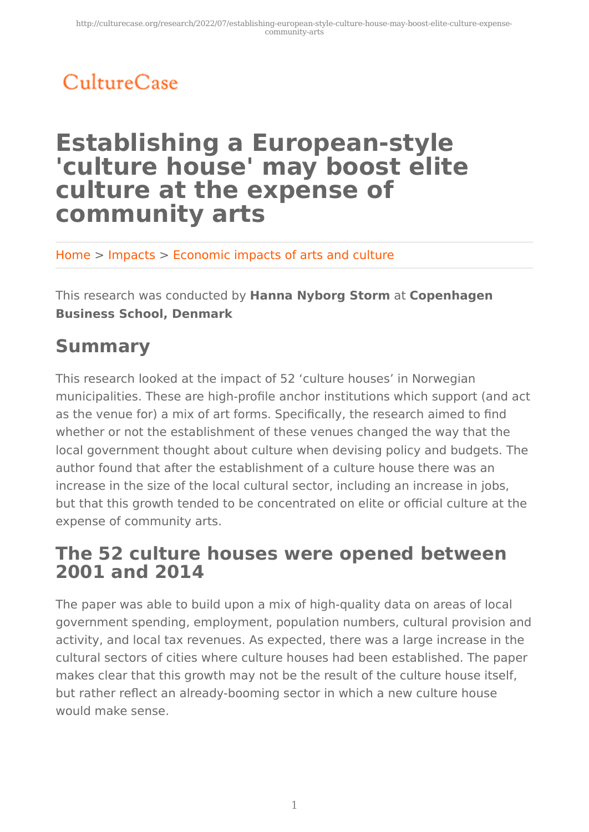# CultureCase

## **Establishing a European-style 'culture house' may boost elite culture at the expense of community arts**

Home > Impacts > Economic impacts of arts and culture

This research was conducted by **Hanna Nyborg Storm** at **Copenhagen Business School, Denmark**

## **Summary**

This research looked at the impact of 52 'culture houses' in Norwegian municipalities. These are high-profile anchor institutions which support (and act as the venue for) a mix of art forms. Specifically, the research aimed to find whether or not the establishment of these venues changed the way that the local government thought about culture when devising policy and budgets. The author found that after the establishment of a culture house there was an increase in the size of the local cultural sector, including an increase in jobs, but that this growth tended to be concentrated on elite or official culture at the expense of community arts.

### **The 52 culture houses were opened between 2001 and 2014**

The paper was able to build upon a mix of high-quality data on areas of local government spending, employment, population numbers, cultural provision and activity, and local tax revenues. As expected, there was a large increase in the cultural sectors of cities where culture houses had been established. The paper makes clear that this growth may not be the result of the culture house itself, but rather reflect an already-booming sector in which a new culture house would make sense.